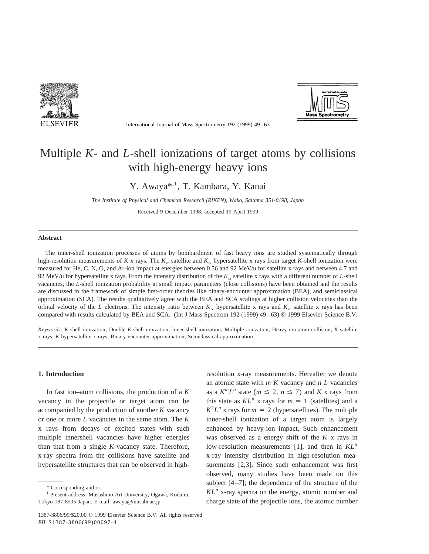

International Journal of Mass Spectrometry 192 (1999) 49–63



# Multiple *K*- and *L*-shell ionizations of target atoms by collisions with high-energy heavy ions

Y. Awaya<sup>\*,1</sup>, T. Kambara, Y. Kanai

*The Institute of Physical and Chemical Research (RIKEN), Wako, Saitama 351-0198, Japan*

Received 9 December 1998; accepted 19 April 1999

#### **Abstract**

The inner-shell ionization processes of atoms by bombardment of fast heavy ions are studied systematically through high-resolution measurements of *K* x rays. The  $K_{\alpha}$  satellite and  $K_{\alpha}$  hypersatellite x rays from target *K*-shell ionization were measured for He, C, N, O, and Ar-ion impact at energies between 0.56 and 92 MeV/u for satellite x rays and between 4.7 and 92 MeV/u for hypersatellite x rays. From the intensity distribution of the  $K_{\alpha}$  satellite x rays with a different number of *L*-shell vacancies, the *L*-shell ionization probability at small impact parameters (close collisions) have been obtained and the results are discussed in the framework of simple first-order theories like binary-encounter approximation (BEA), and semiclassical approximation (SCA). The results qualitatively agree with the BEA and SCA scalings at higher collision velocities than the orbital velocity of the *L* electrons. The intensity ratio between  $K_{\alpha}$  hypersatellite x rays and  $K_{\alpha}$  satellite x rays has been compared with results calculated by BEA and SCA. (Int J Mass Spectrom 192 (1999) 49–63) © 1999 Elsevier Science B.V.

*Keywords: K*-shell ionization; Double *K*-shell ionization; Inner-shell ionization; Multiple ionization; Heavy ion-atom collision; *K* satellite x-rays; *K* hypersatellite x-rays; Binary encounter approximation; Semiclassical approximation

## **1. Introduction**

In fast ion–atom collisions, the production of a *K* vacancy in the projectile or target atom can be accompanied by the production of another *K* vacancy or one or more *L* vacancies in the same atom. The *K* x rays from decays of excited states with such multiple innershell vacancies have higher energies than that from a single *K*-vacancy state. Therefore, x-ray spectra from the collisions have satellite and hypersatellite structures that can be observed in highresolution x-ray measurements. Hereafter we denote an atomic state with *m K* vacancy and *n L* vacancies as a  $K^m L^n$  state ( $m \leq 2$ ,  $n \leq 7$ ) and K x rays from this state as  $KL^n$  x rays for  $m = 1$  (satellites) and a  $K^2L^n$  x rays for  $m = 2$  (hypersatellites). The multiple inner-shell ionization of a target atom is largely enhanced by heavy-ion impact. Such enhancement was observed as a energy shift of the *K* x rays in low-resolution measurements [1], and then in *KL<sup>n</sup>* x-ray intensity distribution in high-resolution measurements [2,3]. Since such enhancement was first observed, many studies have been made on this subject  $[4-7]$ ; the dependence of the structure of the  $KL<sup>n</sup>$  x-ray spectra on the energy, atomic number and charge state of the projectile ions, the atomic number

<sup>\*</sup> Corresponding author.

<sup>&</sup>lt;sup>1</sup> Present address: Musashino Art University, Ogawa, Kodaira, Tokyo 187-8505 Japan. E-mail: awaya@musabi.ac.jp

<sup>1387-3806/99/\$20.00 © 1999</sup> Elsevier Science B.V. All rights reserved *PII* S1387-3806(99)00097-4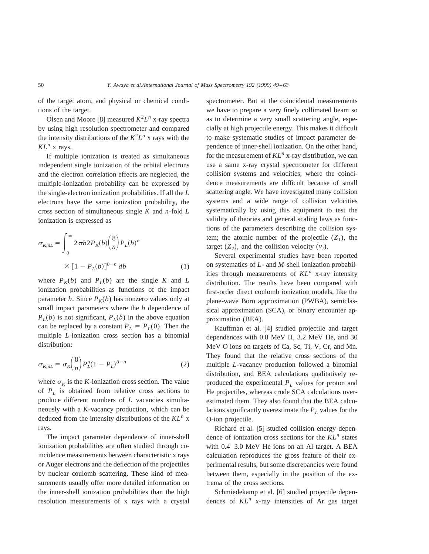of the target atom, and physical or chemical conditions of the target.

Olsen and Moore [8] measured  $K^2L^n$  x-ray spectra by using high resolution spectrometer and compared the intensity distributions of the  $K^2L^n$  x rays with the  $KL^n$  x rays.

If multiple ionization is treated as simultaneous independent single ionization of the orbital electrons and the electron correlation effects are neglected, the multiple-ionization probability can be expressed by the single-electron ionization probabilities. If all the *L* electrons have the same ionization probability, the cross section of simultaneous single *K* and *n*-fold *L* ionization is expressed as

$$
\sigma_{K,nL} = \int_0^\infty 2\pi b 2P_K(b) \binom{8}{n} P_L(b)^n
$$

$$
\times \left[1 - P_L(b)\right]^{8-n} db \tag{1}
$$

where  $P_K(b)$  and  $P_L(b)$  are the single K and L ionization probabilities as functions of the impact parameter *b*. Since  $P_K(b)$  has nonzero values only at small impact parameters where the *b* dependence of  $P_L(b)$  is not significant,  $P_L(b)$  in the above equation can be replaced by a constant  $P_L = P_L(0)$ . Then the multiple *L*-ionization cross section has a binomial distribution:

$$
\sigma_{K,nL} = \sigma_K \binom{8}{n} P_L^n (1 - P_L)^{8-n} \tag{2}
$$

where  $\sigma_K$  is the *K*-ionization cross section. The value of  $P_L$  is obtained from relative cross sections to produce different numbers of *L* vacancies simultaneously with a *K*-vacancy production, which can be deduced from the intensity distributions of the *KL<sup>n</sup>* x rays.

The impact parameter dependence of inner-shell ionization probabilities are often studied through coincidence measurements between characteristic x rays or Auger electrons and the deflection of the projectiles by nuclear coulomb scattering. These kind of measurements usually offer more detailed information on the inner-shell ionization probabilities than the high resolution measurements of x rays with a crystal spectrometer. But at the coincidental measurements we have to prepare a very finely collimated beam so as to determine a very small scattering angle, especially at high projectile energy. This makes it difficult to make systematic studies of impact parameter dependence of inner-shell ionization. On the other hand, for the measurement of *KL<sup>n</sup>* x-ray distribution, we can use a same x-ray crystal spectrometer for different collision systems and velocities, where the coincidence measurements are difficult because of small scattering angle. We have investigated many collision systems and a wide range of collision velocities systematically by using this equipment to test the validity of theories and general scaling laws as functions of the parameters describing the collision system; the atomic number of the projectile  $(Z_1)$ , the target  $(Z_2)$ , and the collision velocity  $(v_i)$ .

Several experimental studies have been reported on systematics of *L*- and *M*-shell ionization probabilities through measurements of *KL<sup>n</sup>* x-ray intensity distribution. The results have been compared with first-order direct coulomb ionization models, like the plane-wave Born approximation (PWBA), semiclassical approximation (SCA), or binary encounter approximation (BEA).

Kauffman et al. [4] studied projectile and target dependences with 0.8 MeV H, 3.2 MeV He, and 30 MeV O ions on targets of Ca, Sc, Ti, V, Cr, and Mn. They found that the relative cross sections of the multiple *L*-vacancy production followed a binomial distribution, and BEA calculations qualitatively reproduced the experimental  $P_L$  values for proton and He projectiles, whereas crude SCA calculations overestimated them. They also found that the BEA calculations significantly overestimate the  $P_L$  values for the O-ion projectile.

Richard et al. [5] studied collision energy dependence of ionization cross sections for the *KL<sup>n</sup>* states with 0.4–3.0 MeV He ions on an Al target. A BEA calculation reproduces the gross feature of their experimental results, but some discrepancies were found between them, especially in the position of the extrema of the cross sections.

Schmiedekamp et al. [6] studied projectile dependences of *KL<sup>n</sup>* x-ray intensities of Ar gas target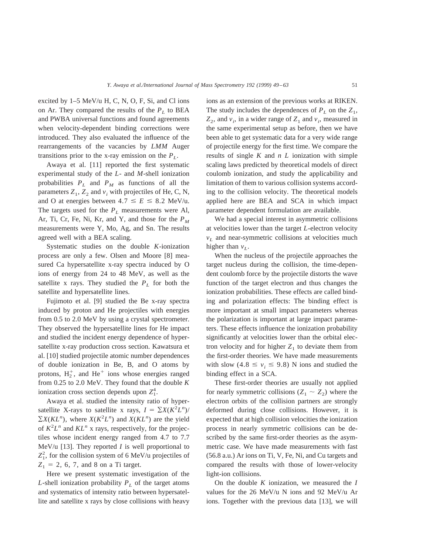excited by  $1-5$  MeV/u H, C, N, O, F, Si, and Cl ions on Ar. They compared the results of the  $P_L$  to BEA and PWBA universal functions and found agreements when velocity-dependent binding corrections were introduced. They also evaluated the influence of the rearrangements of the vacancies by *LMM* Auger transitions prior to the x-ray emission on the  $P_L$ .

Awaya et al. [11] reported the first systematic experimental study of the *L*- and *M*-shell ionization probabilities  $P_L$  and  $P_M$  as functions of all the parameters  $Z_1$ ,  $Z_2$  and  $v_i$  with projectiles of He, C, N, and O at energies between  $4.7 \le E \le 8.2$  MeV/u. The targets used for the  $P_L$  measurements were Al, Ar, Ti, Cr, Fe, Ni, Kr, and Y, and those for the  $P_M$ measurements were Y, Mo, Ag, and Sn. The results agreed well with a BEA scaling.

Systematic studies on the double *K*-ionization process are only a few. Olsen and Moore [8] measured Ca hypersatellite x-ray spectra induced by O ions of energy from 24 to 48 MeV, as well as the satellite x rays. They studied the  $P_L$  for both the satellite and hypersatellite lines.

Fujimoto et al. [9] studied the Be x-ray spectra induced by proton and He projectiles with energies from 0.5 to 2.0 MeV by using a crystal spectrometer. They observed the hypersatellite lines for He impact and studied the incident energy dependence of hypersatellite x-ray production cross section. Kawatsura et al. [10] studied projectile atomic number dependences of double ionization in Be, B, and O atoms by protons,  $H_2^+$ , and  $He^+$  ions whose energies ranged from 0.25 to 2.0 MeV. They found that the double *K* ionization cross section depends upon  $Z_1^4$ .

Awaya et al. studied the intensity ratio of hypersatellite X-rays to satellite x rays,  $I = \sum X(K^2 L^n)$ /  $\sum X(KL^n)$ , where  $X(K^2L^n)$  and  $X(KL^n)$  are the yield of  $K^2L^n$  and  $KL^n$  x rays, respectively, for the projectiles whose incident energy ranged from 4.7 to 7.7 MeV/u  $[13]$ . They reported *I* is well proportional to  $Z_1^2$ , for the collision system of 6 MeV/u projectiles of  $Z_1 = 2, 6, 7,$  and 8 on a Ti target.

Here we present systematic investigation of the  $L$ -shell ionization probability  $P_L$  of the target atoms and systematics of intensity ratio between hypersatellite and satellite x rays by close collisions with heavy ions as an extension of the previous works at RIKEN. The study includes the dependences of  $P_L$  on the  $Z_1$ ,  $Z_2$ , and  $v_i$ , in a wider range of  $Z_1$  and  $v_i$ , measured in the same experimental setup as before, then we have been able to get systematic data for a very wide range of projectile energy for the first time. We compare the results of single *K* and *n L* ionization with simple scaling laws predicted by theoretical models of direct coulomb ionization, and study the applicability and limitation of them to various collision systems according to the collision velocity. The theoretical models applied here are BEA and SCA in which impact parameter dependent formulation are available.

We had a special interest in asymmetric collisions at velocities lower than the target *L*-electron velocity  $v_L$  and near-symmetric collisions at velocities much higher than  $v_L$ .

When the nucleus of the projectile approaches the target nucleus during the collision, the time-dependent coulomb force by the projectile distorts the wave function of the target electron and thus changes the ionization probabilities. These effects are called binding and polarization effects: The binding effect is more important at small impact parameters whereas the polarization is important at large impact parameters. These effects influence the ionization probability significantly at velocities lower than the orbital electron velocity and for higher  $Z_1$  to deviate them from the first-order theories. We have made measurements with slow  $(4.8 \le v_i \le 9.8)$  N ions and studied the binding effect in a SCA.

These first-order theories are usually not applied for nearly symmetric collisions  $(Z_1 \sim Z_2)$  where the electron orbits of the collision partners are strongly deformed during close collisions. However, it is expected that at high collision velocities the ionization process in nearly symmetric collisions can be described by the same first-order theories as the asymmetric case. We have made measurements with fast (56.8 a.u.) Ar ions on Ti, V, Fe, Ni, and Cu targets and compared the results with those of lower-velocity light-ion collisions.

On the double *K* ionization, we measured the *I* values for the 26 MeV/u N ions and 92 MeV/u Ar ions. Together with the previous data [13], we will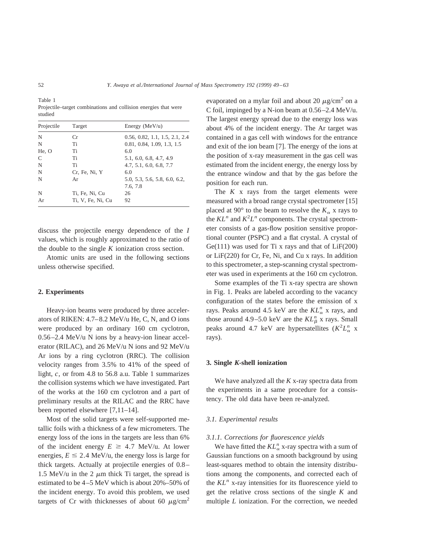Table 1 Projectile–target combinations and collision energies that were studied

| Projectile | Target            | Energy ( $MeV/u$ )<br>0.56, 0.82, 1.1, 1.5, 2.1, 2.4 |  |  |
|------------|-------------------|------------------------------------------------------|--|--|
| N          | Сr                |                                                      |  |  |
| N          | Ti                | 0.81, 0.84, 1.09, 1.3, 1.5                           |  |  |
| He, O      | Ti                | 6.0                                                  |  |  |
| C          | Ti                | 5.1, 6.0, 6.8, 4.7, 4.9                              |  |  |
| N          | Ti                | 4.7, 5.1, 6.0, 6.8, 7.7                              |  |  |
| N          | Cr. Fe, Ni, Y     | 6.0                                                  |  |  |
| N          | Ar                | 5.0, 5.3, 5.6, 5.8, 6.0, 6.2,                        |  |  |
|            |                   | 7.6, 7.8                                             |  |  |
| N          | Ti, Fe, Ni, Cu    | 26                                                   |  |  |
| Ar         | Ti, V, Fe, Ni, Cu | 92                                                   |  |  |

discuss the projectile energy dependence of the *I* values, which is roughly approximated to the ratio of the double to the single *K* ionization cross section.

Atomic units are used in the following sections unless otherwise specified.

## **2. Experiments**

Heavy-ion beams were produced by three accelerators of RIKEN: 4.7–8.2 MeV/u He, C, N, and O ions were produced by an ordinary 160 cm cyclotron, 0.56–2.4 MeV/u N ions by a heavy-ion linear accelerator (RILAC), and 26 MeV/u N ions and 92 MeV/u Ar ions by a ring cyclotron (RRC). The collision velocity ranges from 3.5% to 41% of the speed of light,  $c$ , or from 4.8 to 56.8 a.u. Table 1 summarizes the collision systems which we have investigated. Part of the works at the 160 cm cyclotron and a part of preliminary results at the RILAC and the RRC have been reported elsewhere [7,11–14].

Most of the solid targets were self-supported metallic foils with a thickness of a few micrometers. The energy loss of the ions in the targets are less than 6% of the incident energy  $E \geq 4.7$  MeV/u. At lower energies,  $E \le 2.4$  MeV/u, the energy loss is large for thick targets. Actually at projectile energies of 0.8– 1.5 MeV/u in the 2  $\mu$ m thick Ti target, the spread is estimated to be 4–5 MeV which is about 20%–50% of the incident energy. To avoid this problem, we used targets of Cr with thicknesses of about 60  $\mu$ g/cm<sup>2</sup> evaporated on a mylar foil and about 20  $\mu$ g/cm<sup>2</sup> on a C foil, impinged by a N-ion beam at 0.56–2.4 MeV/u. The largest energy spread due to the energy loss was about 4% of the incident energy. The Ar target was contained in a gas cell with windows for the entrance and exit of the ion beam [7]. The energy of the ions at the position of x-ray measurement in the gas cell was estimated from the incident energy, the energy loss by the entrance window and that by the gas before the position for each run.

The *K* x rays from the target elements were measured with a broad range crystal spectrometer [15] placed at 90 $^{\circ}$  to the beam to resolve the  $K_{\alpha}$  x rays to the  $KL^n$  and  $K^2L^n$  components. The crystal spectrometer consists of a gas-flow position sensitive proportional counter (PSPC) and a flat crystal. A crystal of Ge( $111$ ) was used for Ti x rays and that of  $LiF(200)$ or LiF(220) for Cr, Fe, Ni, and Cu x rays. In addition to this spectrometer, a step-scanning crystal spectrometer was used in experiments at the 160 cm cyclotron.

Some examples of the Ti x-ray spectra are shown in Fig. 1. Peaks are labeled according to the vacancy configuration of the states before the emission of x rays. Peaks around 4.5 keV are the  $KL_{\alpha}^{n}$  x rays, and those around  $4.9 - 5.0$  keV are the  $KL_{\beta}^{n}$  x rays. Small peaks around 4.7 keV are hypersatellites  $(K^2 L^n_{\alpha} \times$ rays).

## **3. Single** *K***-shell ionization**

We have analyzed all the *K* x-ray spectra data from the experiments in a same procedure for a consistency. The old data have been re-analyzed.

### *3.1. Experimental results*

#### *3.1.1. Corrections for fluorescence yields*

We have fitted the  $KL_{\alpha}^{n}$  x-ray spectra with a sum of Gaussian functions on a smooth background by using least-squares method to obtain the intensity distributions among the components, and corrected each of the *KL<sup>n</sup>* x-ray intensities for its fluorescence yield to get the relative cross sections of the single *K* and multiple *L* ionization. For the correction, we needed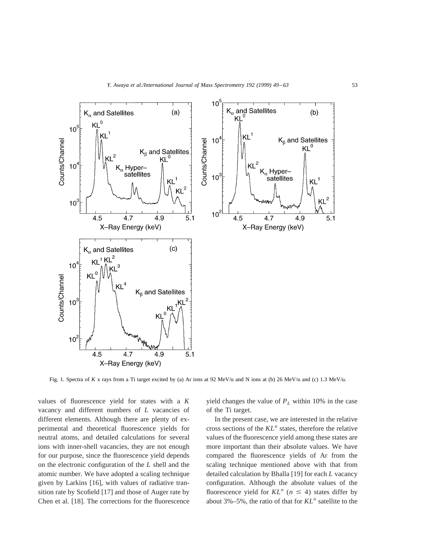

Fig. 1. Spectra of *K* x rays from a Ti target excited by (a) Ar ions at 92 MeV/u and N ions at (b) 26 MeV/u and (c) 1.3 MeV/u.

values of fluorescence yield for states with a *K* vacancy and different numbers of *L* vacancies of different elements. Although there are plenty of experimental and theoretical fluorescence yields for neutral atoms, and detailed calculations for several ions with inner-shell vacancies, they are not enough for our purpose, since the fluorescence yield depends on the electronic configuration of the *L* shell and the atomic number. We have adopted a scaling technique given by Larkins [16], with values of radiative transition rate by Scofield [17] and those of Auger rate by Chen et al. [18]. The corrections for the fluorescence yield changes the value of  $P_L$  within 10% in the case of the Ti target.

In the present case, we are interested in the relative cross sections of the *KL<sup>n</sup>* states, therefore the relative values of the fluorescence yield among these states are more important than their absolute values. We have compared the fluorescence yields of Ar from the scaling technique mentioned above with that from detailed calculation by Bhalla [19] for each *L* vacancy configuration. Although the absolute values of the fluorescence yield for  $KL^n$  ( $n \leq 4$ ) states differ by about 3%–5%, the ratio of that for *KL<sup>n</sup>* satellite to the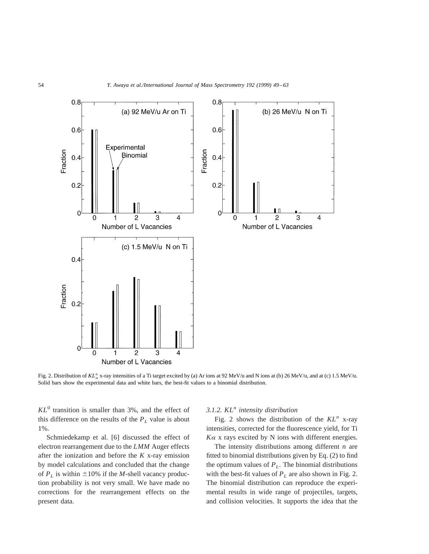

Fig. 2. Distribution of KL<sup>n</sup><sub>x</sub> x-ray intensities of a Ti target excited by (a) Ar ions at 92 MeV/u and N ions at (b) 26 MeV/u, and at (c) 1.5 MeV/u. Solid bars show the experimental data and white bars, the best-fit values to a binomial distribution.

 $KL<sup>0</sup>$  transition is smaller than 3%, and the effect of this difference on the results of the  $P_L$  value is about 1%.

Schmiedekamp et al. [6] discussed the effect of electron rearrangement due to the *LMM* Auger effects after the ionization and before the *K* x-ray emission by model calculations and concluded that the change of  $P_L$  is within  $\pm 10\%$  if the *M*-shell vacancy production probability is not very small. We have made no corrections for the rearrangement effects on the present data.

## *3.1.2. KL<sup>n</sup> intensity distribution*

Fig. 2 shows the distribution of the  $KL^n$  x-ray intensities, corrected for the fluorescence yield, for Ti  $K\alpha$  x rays excited by N ions with different energies.

The intensity distributions among different *n* are fitted to binomial distributions given by Eq. (2) to find the optimum values of  $P_L$ . The binomial distributions with the best-fit values of  $P_L$  are also shown in Fig. 2. The binomial distribution can reproduce the experimental results in wide range of projectiles, targets, and collision velocities. It supports the idea that the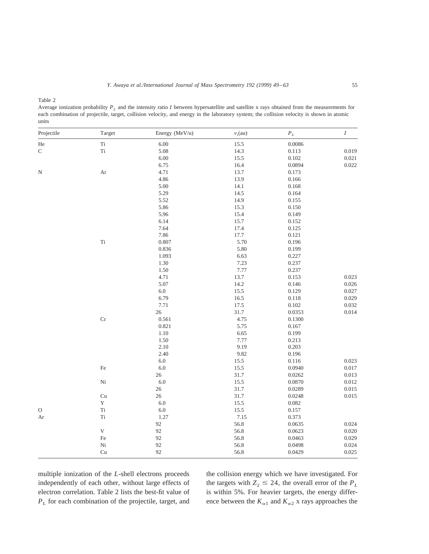Table 2

Average ionization probability *PL* and the intensity ratio *I* between hypersatellite and satellite x rays obtained from the measurements for each combination of projectile, target, collision velocity, and energy in the laboratory system; the collision velocity is shown in atomic units

| Projectile | Target        | Energy (MeV/u) | $v_i$ (au) | $\boldsymbol{P}_L$ | $\cal I$ |
|------------|---------------|----------------|------------|--------------------|----------|
| He         | $\rm Ti$      | $6.00\,$       | 15.5       | 0.0086             |          |
| ${\bf C}$  | $\rm Ti$      | 5.08           | 14.3       | 0.113              | 0.019    |
|            |               | 6.00           | 15.5       | 0.102              | 0.021    |
|            |               | 6.75           | 16.4       | 0.0894             | 0.022    |
| ${\bf N}$  | $\rm Ar$      | 4.71           | 13.7       | 0.173              |          |
|            |               | 4.86           | 13.9       | 0.166              |          |
|            |               | 5.00           | 14.1       | 0.168              |          |
|            |               | 5.29           | 14.5       | 0.164              |          |
|            |               | 5.52           | 14.9       | 0.155              |          |
|            |               | 5.86           | 15.3       | 0.150              |          |
|            |               | 5.96           | 15.4       | 0.149              |          |
|            |               | 6.14           | 15.7       | 0.152              |          |
|            |               | 7.64           | 17.4       | 0.125              |          |
|            |               | 7.86           | 17.7       | 0.121              |          |
|            | $\rm Ti$      | 0.807          | 5.70       | 0.196              |          |
|            |               | 0.836          | 5.80       | 0.199              |          |
|            |               | 1.093          | 6.63       | 0.227              |          |
|            |               | 1.30           | 7.23       | 0.237              |          |
|            |               | 1.50           | 7.77       | 0.237              |          |
|            |               | 4.71           | 13.7       | 0.153              | 0.023    |
|            |               | 5.07           | 14.2       | 0.146              | 0.026    |
|            |               | $6.0\,$        | 15.5       | 0.129              | 0.027    |
|            |               | 6.79           | 16.5       | $0.118\,$          | 0.029    |
|            |               | 7.71           | 17.5       | 0.102              | 0.032    |
|            |               | $26\,$         | 31.7       | 0.0353             | 0.014    |
|            | $\rm Cr$      | 0.561          | 4.75       | 0.1300             |          |
|            |               | 0.821          | 5.75       | 0.167              |          |
|            |               | $1.10\,$       | 6.65       | 0.199              |          |
|            |               | $1.50\,$       | 7.77       | 0.213              |          |
|            |               | 2.10           | 9.19       | 0.203              |          |
|            |               | 2.40           | 9.82       | 0.196              |          |
|            |               | $6.0\,$        | 15.5       | 0.116              | 0.023    |
|            | $\rm Fe$      | $6.0\,$        | 15.5       | 0.0940             | 0.017    |
|            |               | $26\,$         | 31.7       | 0.0262             | 0.013    |
|            | $\mathrm{Ni}$ | $6.0\,$        | 15.5       | 0.0870             | 0.012    |
|            |               | 26             | 31.7       | 0.0289             | 0.015    |
|            | Cu            | $26\,$         | 31.7       | 0.0248             | 0.015    |
|            | $\mathbf Y$   | $6.0\,$        | 15.5       | 0.082              |          |
| $\rm{O}$   | $\rm Ti$      | $6.0\,$        | 15.5       | 0.157              |          |
| Ar         | $\rm Ti$      | 1.27           | 7.15       | 0.373              |          |
|            |               | 92             | 56.8       | 0.0635             | 0.024    |
|            | $\mathbf V$   | 92             | 56.8       | 0.0623             | 0.020    |
|            | $\rm Fe$      | 92             | 56.8       | 0.0463             | 0.029    |
|            | $\rm Ni$      | 92             | 56.8       | 0.0498             | 0.024    |
|            | Cu            | 92             | 56.8       | 0.0429             | 0.025    |

multiple ionization of the *L*-shell electrons proceeds independently of each other, without large effects of electron correlation. Table 2 lists the best-fit value of *PL* for each combination of the projectile, target, and

the collision energy which we have investigated. For the targets with  $Z_2 \le 24$ , the overall error of the  $P_L$ is within 5%. For heavier targets, the energy difference between the  $K_{\alpha 1}$  and  $K_{\alpha 2}$  x rays approaches the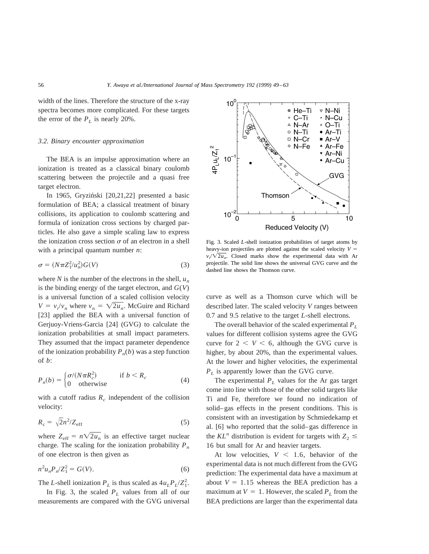width of the lines. Therefore the structure of the x-ray spectra becomes more complicated. For these targets the error of the  $P_L$  is nearly 20%.

#### *3.2. Binary encounter approximation*

The BEA is an impulse approximation where an ionization is treated as a classical binary coulomb scattering between the projectile and a quasi free target electron.

In 1965, Gryziński [20,21,22] presented a basic formulation of BEA; a classical treatment of binary collisions, its application to coulomb scattering and formula of ionization cross sections by charged particles. He also gave a simple scaling law to express the ionization cross section  $\sigma$  of an electron in a shell with a principal quantum number *n*:

$$
\sigma = (N\pi Z_1^2 / u_n^2) G(V) \tag{3}
$$

where *N* is the number of the electrons in the shell,  $u_n$ is the binding energy of the target electron, and  $G(V)$ is a universal function of a scaled collision velocity  $V = v_i/v_n$  where  $v_n = \sqrt{2u_n}$ . McGuire and Richard [23] applied the BEA with a universal function of Gerjuoy-Vriens-Garcia [24] (GVG) to calculate the ionization probabilities at small impact parameters. They assumed that the impact parameter dependence of the ionization probability  $P_n(b)$  was a step function of *b*:

$$
P_n(b) = \begin{cases} \sigma/(N\pi R_c^2) & \text{if } b < R_c \\ 0 & \text{otherwise} \end{cases} \tag{4}
$$

with a cutoff radius  $R_c$  independent of the collision velocity:

$$
R_c = \sqrt{2}n^2/Z_{\text{eff}}\tag{5}
$$

where  $Z_{\text{eff}} = n\sqrt{2u_n}$  is an effective target nuclear charge. The scaling for the ionization probability  $P_n$ of one electron is then given as

$$
n^2 u_n P_n / Z_1^2 = G(V). \tag{6}
$$

The *L*-shell ionization  $P_L$  is thus scaled as  $4u_L P_L/Z_1^2$ .

In Fig. 3, the scaled  $P<sub>L</sub>$  values from all of our measurements are compared with the GVG universal



Fig. 3. Scaled *L*-shell ionization probabilities of target atoms by heavy-ion projectiles are plotted against the scaled velocity  $V =$  $v_i/\sqrt{2u_n}$ . Closed marks show the experimental data with Ar projectile. The solid line shows the universal GVG curve and the dashed line shows the Thomson curve.

curve as well as a Thomson curve which will be described later. The scaled velocity *V* ranges between 0.7 and 9.5 relative to the target *L*-shell electrons.

The overall behavior of the scaled experimental *PL* values for different collision systems agree the GVG curve for  $2 < V < 6$ , although the GVG curve is higher, by about 20%, than the experimental values. At the lower and higher velocities, the experimental *PL* is apparently lower than the GVG curve.

The experimental  $P_L$  values for the Ar gas target come into line with those of the other solid targets like Ti and Fe, therefore we found no indication of solid–gas effects in the present conditions. This is consistent with an investigation by Schmiedekamp et al. [6] who reported that the solid–gas difference in the  $KL^n$  distribution is evident for targets with  $Z_2 \leq$ 16 but small for Ar and heavier targets.

At low velocities,  $V < 1.6$ , behavior of the experimental data is not much different from the GVG prediction: The experimental data have a maximum at about  $V = 1.15$  whereas the BEA prediction has a maximum at  $V = 1$ . However, the scaled  $P<sub>L</sub>$  from the BEA predictions are larger than the experimental data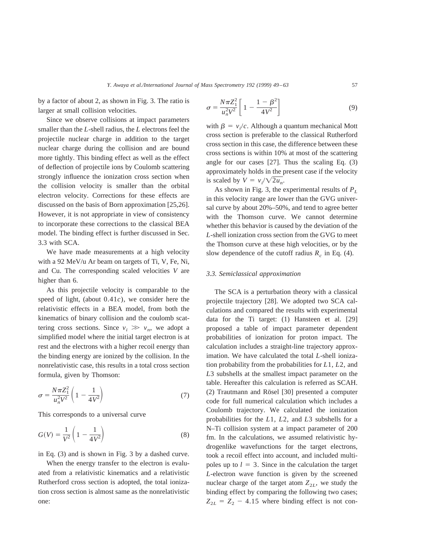by a factor of about 2, as shown in Fig. 3. The ratio is larger at small collision velocities.

Since we observe collisions at impact parameters smaller than the *L*-shell radius, the *L* electrons feel the projectile nuclear charge in addition to the target nuclear charge during the collision and are bound more tightly. This binding effect as well as the effect of deflection of projectile ions by Coulomb scattering strongly influence the ionization cross section when the collision velocity is smaller than the orbital electron velocity. Corrections for these effects are discussed on the basis of Born approximation [25,26]. However, it is not appropriate in view of consistency to incorporate these corrections to the classical BEA model. The binding effect is further discussed in Sec. 3.3 with SCA.

We have made measurements at a high velocity with a 92 MeV/u Ar beam on targets of Ti, V, Fe, Ni, and Cu. The corresponding scaled velocities *V* are higher than 6.

As this projectile velocity is comparable to the speed of light, (about 0.41*c*), we consider here the relativistic effects in a BEA model, from both the kinematics of binary collision and the coulomb scattering cross sections. Since  $v_i \gg v_n$ , we adopt a simplified model where the initial target electron is at rest and the electrons with a higher recoil energy than the binding energy are ionized by the collision. In the nonrelativistic case, this results in a total cross section formula, given by Thomson:

$$
\sigma = \frac{N\pi Z_1^2}{u_n^2 V^2} \left(1 - \frac{1}{4V^2}\right) \tag{7}
$$

This corresponds to a universal curve

$$
G(V) = \frac{1}{V^2} \left( 1 - \frac{1}{4V^2} \right)
$$
 (8)

in Eq. (3) and is shown in Fig. 3 by a dashed curve.

When the energy transfer to the electron is evaluated from a relativistic kinematics and a relativistic Rutherford cross section is adopted, the total ionization cross section is almost same as the nonrelativistic one:

$$
\sigma = \frac{N\pi Z_1^2}{u_n^2 V^2} \left[ 1 - \frac{1 - \beta^2}{4V^2} \right]
$$
(9)

with  $\beta = v_i/c$ . Although a quantum mechanical Mott cross section is preferable to the classical Rutherford cross section in this case, the difference between these cross sections is within 10% at most of the scattering angle for our cases [27]. Thus the scaling Eq. (3) approximately holds in the present case if the velocity is scaled by  $V = v_i / \sqrt{2u_n}$ .

As shown in Fig. 3, the experimental results of  $P<sub>L</sub>$ in this velocity range are lower than the GVG universal curve by about 20%–50%, and tend to agree better with the Thomson curve. We cannot determine whether this behavior is caused by the deviation of the *L*-shell ionization cross section from the GVG to meet the Thomson curve at these high velocities, or by the slow dependence of the cutoff radius  $R_c$  in Eq. (4).

## *3.3. Semiclassical approximation*

The SCA is a perturbation theory with a classical projectile trajectory [28]. We adopted two SCA calculations and compared the results with experimental data for the Ti target: (1) Hansteen et al. [29] proposed a table of impact parameter dependent probabilities of ionization for proton impact. The calculation includes a straight-line trajectory approximation. We have calculated the total *L*-shell ionization probability from the probabilities for *L*1, *L*2, and *L*3 subshells at the smallest impact parameter on the table. Hereafter this calculation is referred as SCAH.  $(2)$  Trautmann and Rösel [30] presented a computer code for full numerical calculation which includes a Coulomb trajectory. We calculated the ionization probabilities for the *L*1, *L*2, and *L*3 subshells for a N–Ti collision system at a impact parameter of 200 fm. In the calculations, we assumed relativistic hydrogenlike wavefunctions for the target electrons, took a recoil effect into account, and included multipoles up to  $l = 3$ . Since in the calculation the target *L*-electron wave function is given by the screened nuclear charge of the target atom  $Z_{2L}$ , we study the binding effect by comparing the following two cases;  $Z_{2L} = Z_2 - 4.15$  where binding effect is not con-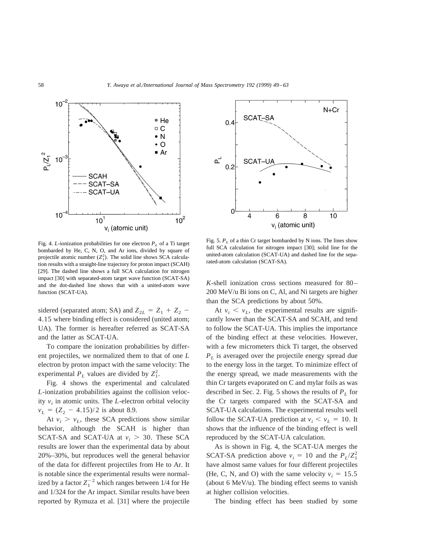

Fig. 4. *L*-ionization probabilities for one electron  $P_L$  of a Ti target bombarded by He, C, N, O, and Ar ions, divided by square of projectile atomic number  $(Z_1^2)$ . The solid line shows SCA calculation results with a straight-line trajectory for proton impact (SCAH) [29]. The dashed line shows a full SCA calculation for nitrogen impact [30] with separated-atom target wave function (SCAT-SA) and the dot-dashed line shows that with a united-atom wave function (SCAT-UA).

sidered (separated atom; SA) and  $Z_{2L} = Z_1 + Z_2$ 4.15 where binding effect is considered (united atom; UA). The former is hereafter referred as SCAT-SA and the latter as SCAT-UA.

To compare the ionization probabilities by different projectiles, we normalized them to that of one *L* electron by proton impact with the same velocity: The experimental  $P_L$  values are divided by  $Z_1^2$ .

Fig. 4 shows the experimental and calculated *L*-ionization probabilities against the collision velocity  $v_i$  in atomic units. The *L*-electron orbital velocity  $v_L = (Z_2 - 4.15)/2$  is about 8.9.

At  $v_i > v_i$ , these SCA predictions show similar behavior, although the SCAH is higher than SCAT-SA and SCAT-UA at  $v_i > 30$ . These SCA results are lower than the experimental data by about 20%–30%, but reproduces well the general behavior of the data for different projectiles from He to Ar. It is notable since the experimental results were normalized by a factor  $Z_1^{-2}$  which ranges between 1/4 for He and 1/324 for the Ar impact. Similar results have been reported by Rymuza et al. [31] where the projectile



Fig. 5.  $P_L$  of a thin Cr target bombarded by N ions. The lines show full SCA calculation for nitrogen impact [30]; solid line for the united-atom calculation (SCAT-UA) and dashed line for the separated-atom calculation (SCAT-SA).

*K*-shell ionization cross sections measured for 80– 200 MeV/u Bi ions on C, Al, and Ni targets are higher than the SCA predictions by about 50%.

At  $v_i \le v_i$ , the experimental results are significantly lower than the SCAT-SA and SCAH, and tend to follow the SCAT-UA. This implies the importance of the binding effect at these velocities. However, with a few micrometers thick Ti target, the observed  $P_L$  is averaged over the projectile energy spread due to the energy loss in the target. To minimize effect of the energy spread, we made measurements with the thin Cr targets evaporated on C and mylar foils as was described in Sec. 2. Fig. 5 shows the results of  $P_L$  for the Cr targets compared with the SCAT-SA and SCAT-UA calculations. The experimental results well follow the SCAT-UA prediction at  $v_i < v_L = 10$ . It shows that the influence of the binding effect is well reproduced by the SCAT-UA calculation.

As is shown in Fig. 4, the SCAT-UA merges the SCAT-SA prediction above  $v_i = 10$  and the  $P_L/Z_1^2$ have almost same values for four different projectiles (He, C, N, and O) with the same velocity  $v_i = 15.5$ (about 6 MeV/u). The binding effect seems to vanish at higher collision velocities.

The binding effect has been studied by some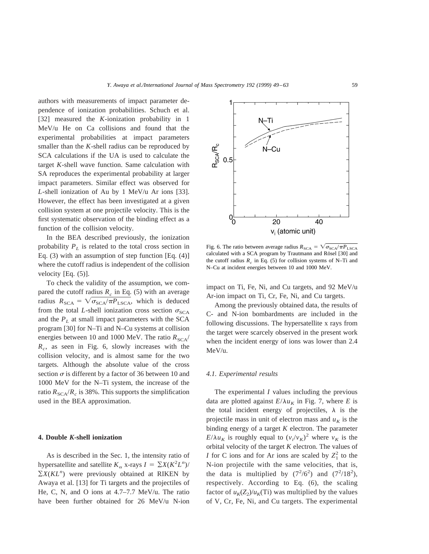authors with measurements of impact parameter dependence of ionization probabilities. Schuch et al. [32] measured the *K*-ionization probability in 1 MeV/u He on Ca collisions and found that the experimental probabilities at impact parameters smaller than the *K*-shell radius can be reproduced by SCA calculations if the UA is used to calculate the target *K*-shell wave function. Same calculation with SA reproduces the experimental probability at larger impact parameters. Similar effect was observed for *L*-shell ionization of Au by 1 MeV/u Ar ions [33]. However, the effect has been investigated at a given collision system at one projectile velocity. This is the first systematic observation of the binding effect as a function of the collision velocity.

In the BEA described previously, the ionization probability  $P_L$  is related to the total cross section in Eq.  $(3)$  with an assumption of step function [Eq.  $(4)$ ] where the cutoff radius is independent of the collision velocity [Eq. (5)].

To check the validity of the assumption, we compared the cutoff radius  $R_c$  in Eq. (5) with an average radius  $R_{SCA} = \sqrt{\sigma_{SCA}/\pi P_{LSCA}}$ , which is deduced from the total *L*-shell ionization cross section  $\sigma_{SCA}$ and the  $P_L$  at small impact parameters with the SCA program [30] for N–Ti and N–Cu systems at collision energies between 10 and 1000 MeV. The ratio  $R_{SCA}$ / *Rc*, as seen in Fig. 6, slowly increases with the collision velocity, and is almost same for the two targets. Although the absolute value of the cross section  $\sigma$  is different by a factor of 36 between 10 and 1000 MeV for the N–Ti system, the increase of the ratio  $R_{SCA}/R_c$  is 38%. This supports the simplification used in the BEA approximation.

#### **4. Double** *K***-shell ionization**

As is described in the Sec. 1, the intensity ratio of hypersatellite and satellite  $K_{\alpha}$  x-rays  $I = \sum X(K^2 L^n)$ /  $\sum X(KL^n)$  were previously obtained at RIKEN by Awaya et al. [13] for Ti targets and the projectiles of He, C, N, and O ions at 4.7–7.7 MeV/u. The ratio have been further obtained for 26 MeV/u N-ion



impact on Ti, Fe, Ni, and Cu targets, and 92 MeV/u Ar-ion impact on Ti, Cr, Fe, Ni, and Cu targets.

Among the previously obtained data, the results of C- and N-ion bombardments are included in the following discussions. The hypersatellite x rays from the target were scarcely observed in the present work when the incident energy of ions was lower than 2.4 MeV/u.

#### *4.1. Experimental results*

The experimental *I* values including the previous data are plotted against  $E/\lambda u_K$  in Fig. 7, where *E* is the total incident energy of projectiles,  $\lambda$  is the projectile mass in unit of electron mass and  $u<sub>K</sub>$  is the binding energy of a target *K* electron. The parameter  $E/\lambda u_K$  is roughly equal to  $(v_i/v_K)^2$  where  $v_K$  is the orbital velocity of the target *K* electron. The values of *I* for C ions and for Ar ions are scaled by  $Z_1^2$  to the N-ion projectile with the same velocities, that is, the data is multiplied by  $(7^2/6^2)$  and  $(7^2/18^2)$ , respectively. According to Eq. (6), the scaling factor of  $u_K(Z_2)/u_K(T_1)$  was multiplied by the values of V, Cr, Fe, Ni, and Cu targets. The experimental

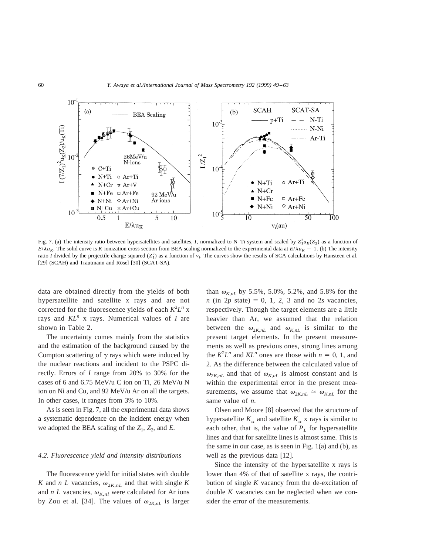

Fig. 7. (a) The intensity ratio between hypersatellites and satellites, *I*, normalized to N–Ti system and scaled by  $Z_1^2 u_K(Z_2)$  as a function of  $E/\lambda u_K$ . The solid curve is *K* ionization cross section from BEA scaling normalized to the experimental data at  $E/\lambda u_K = 1$ . (b) The intensity ratio *I* divided by the projectile charge squared  $(Z_1^2)$  as a function of  $v_i$ . The curves show the results of SCA calculations by Hansteen et al. [29] (SCAH) and Trautmann and Rösel [30] (SCAT-SA).

data are obtained directly from the yields of both hypersatellite and satellite x rays and are not corrected for the fluorescence yields of each  $K^2L^n$  x rays and *KLn* x rays. Numerical values of *I* are shown in Table 2.

The uncertainty comes mainly from the statistics and the estimation of the background caused by the Compton scattering of  $\gamma$  rays which were induced by the nuclear reactions and incident to the PSPC directly. Errors of *I* range from 20% to 30% for the cases of 6 and 6.75 MeV/u C ion on Ti, 26 MeV/u N ion on Ni and Cu, and 92 MeV/u Ar on all the targets. In other cases, it ranges from 3% to 10%.

As is seen in Fig. 7, all the experimental data shows a systematic dependence on the incident energy when we adopted the BEA scaling of the  $Z_1$ ,  $Z_2$ , and  $E$ .

#### *4.2. Fluorescence yield and intensity distributions*

The fluorescence yield for initial states with double *K* and *n L* vacancies,  $\omega_{2K,nL}$  and that with single *K* and *n L* vacancies,  $\omega_{K,nl}$  were calculated for Ar ions by Zou et al. [34]. The values of  $\omega_{2K,nL}$  is larger than  $\omega_{K,nL}$  by 5.5%, 5.0%, 5.2%, and 5.8% for the  $n$  (in 2*p* state) = 0, 1, 2, 3 and no 2*s* vacancies, respectively. Though the target elements are a little heavier than Ar, we assumed that the relation between the  $\omega_{2K,nL}$  and  $\omega_{K,nL}$  is similar to the present target elements. In the present measurements as well as previous ones, strong lines among the  $K^2 L^n$  and  $KL^n$  ones are those with  $n = 0, 1$ , and 2. As the difference between the calculated value of  $\omega_{2K,nL}$  and that of  $\omega_{K,nL}$  is almost constant and is within the experimental error in the present measurements, we assume that  $\omega_{2K,nL} \simeq \omega_{K,nL}$  for the same value of *n*.

Olsen and Moore [8] observed that the structure of hypersatellite  $K_{\alpha}$  and satellite  $K_{\alpha}$  x rays is similar to each other, that is, the value of  $P_L$  for hypersatellite lines and that for satellite lines is almost same. This is the same in our case, as is seen in Fig.  $1(a)$  and  $(b)$ , as well as the previous data [12].

Since the intensity of the hypersatellite x rays is lower than 4% of that of satellite x rays, the contribution of single *K* vacancy from the de-excitation of double *K* vacancies can be neglected when we consider the error of the measurements.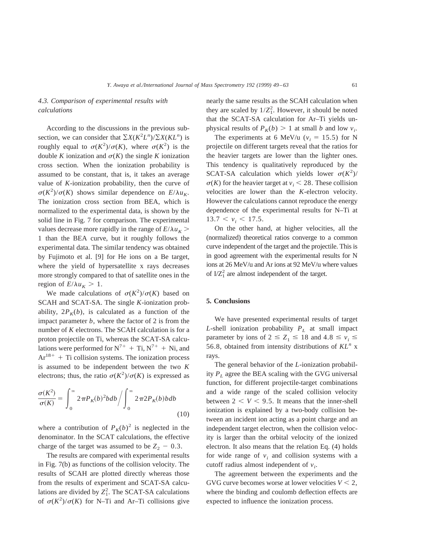## *4.3. Comparison of experimental results with calculations*

According to the discussions in the previous subsection, we can consider that  $\sum X(K^2L^n)/\sum X(KL^n)$  is roughly equal to  $\sigma(K^2)/\sigma(K)$ , where  $\sigma(K^2)$  is the double *K* ionization and  $\sigma(K)$  the single *K* ionization cross section. When the ionization probability is assumed to be constant, that is, it takes an average value of *K*-ionization probability, then the curve of  $\sigma(K^2)/\sigma(K)$  shows similar dependence on  $E/\lambda u_K$ . The ionization cross section from BEA, which is normalized to the experimental data, is shown by the solid line in Fig. 7 for comparison. The experimental values decrease more rapidly in the range of  $E/\lambda u_K$  > 1 than the BEA curve, but it roughly follows the experimental data. The similar tendency was obtained by Fujimoto et al. [9] for He ions on a Be target, where the yield of hypersatellite x rays decreases more strongly compared to that of satellite ones in the region of  $E/\lambda u_K > 1$ .

We made calculations of  $\sigma(K^2)/\sigma(K)$  based on SCAH and SCAT-SA. The single *K*-ionization probability,  $2P_K(b)$ , is calculated as a function of the impact parameter  $b$ , where the factor of 2 is from the number of *K* electrons. The SCAH calculation is for a proton projectile on Ti, whereas the SCAT-SA calculations were performed for  $N^{7+}$  + Ti,  $N^{7+}$  + Ni, and  $Ar^{18+}$  + Ti collision systems. The ionization process is assumed to be independent between the two *K* electrons; thus, the ratio  $\sigma(K^2)/\sigma(K)$  is expressed as

$$
\frac{\sigma(K^2)}{\sigma(K)} = \int_0^\infty 2\pi P_K(b)^2 b db \bigg/ \int_0^\infty 2\pi 2P_K(b) b db \tag{10}
$$

where a contribution of  $P_K(b)^2$  is neglected in the denominator. In the SCAT calculations, the effective charge of the target was assumed to be  $Z_2 - 0.3$ .

The results are compared with experimental results in Fig. 7(b) as functions of the collision velocity. The results of SCAH are plotted directly whereas those from the results of experiment and SCAT-SA calculations are divided by  $Z_1^2$ . The SCAT-SA calculations of  $\sigma(K^2)/\sigma(K)$  for N–Ti and Ar–Ti collisions give

nearly the same results as the SCAH calculation when they are scaled by  $1/Z_1^2$ . However, it should be noted that the SCAT-SA calculation for Ar–Ti yields unphysical results of  $P_K(b) > 1$  at small *b* and low  $v_i$ .

The experiments at 6 MeV/u ( $v_i = 15.5$ ) for N projectile on different targets reveal that the ratios for the heavier targets are lower than the lighter ones. This tendency is qualitatively reproduced by the SCAT-SA calculation which yields lower  $\sigma(K^2)$ /  $\sigma(K)$  for the heavier target at  $v_i < 28$ . These collision velocities are lower than the *K*-electron velocity. However the calculations cannot reproduce the energy dependence of the experimental results for N–Ti at  $13.7 < v_i < 17.5$ .

On the other hand, at higher velocities, all the (normalized) theoretical ratios converge to a common curve independent of the target and the projectile. This is in good agreement with the experimental results for N ions at 26 MeV/u and Ar ions at 92 MeV/u where values of  $I/Z_1^2$  are almost independent of the target.

## **5. Conclusions**

We have presented experimental results of target *L*-shell ionization probability  $P_L$  at small impact parameter by ions of  $2 \le Z_1 \le 18$  and  $4.8 \le v_i \le 4$ 56.8, obtained from intensity distributions of *KL<sup>n</sup>* x rays.

The general behavior of the *L*-ionization probability  $P<sub>L</sub>$  agree the BEA scaling with the GVG universal function, for different projectile-target combinations and a wide range of the scaled collision velocity between  $2 < V < 9.5$ . It means that the inner-shell ionization is explained by a two-body collision between an incident ion acting as a point charge and an independent target electron, when the collision velocity is larger than the orbital velocity of the ionized electron. It also means that the relation Eq. (4) holds for wide range of  $v_i$  and collision systems with a cutoff radius almost independent of  $v_i$ .

The agreement between the experiments and the GVG curve becomes worse at lower velocities  $V < 2$ , where the binding and coulomb deflection effects are expected to influence the ionization process.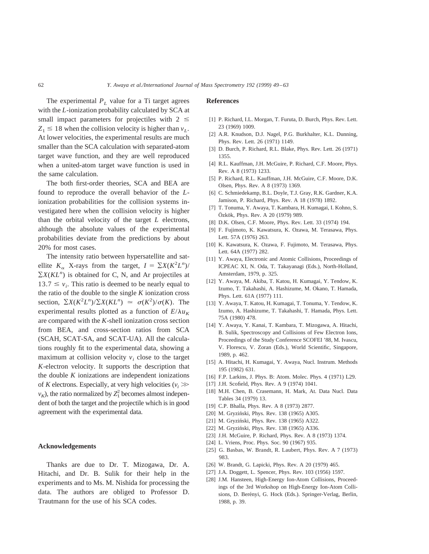The experimental  $P_L$  value for a Ti target agrees with the *L*-ionization probability calculated by SCA at small impact parameters for projectiles with  $2 \le$  $Z_1 \leq 18$  when the collision velocity is higher than  $v_L$ . At lower velocities, the experimental results are much smaller than the SCA calculation with separated-atom target wave function, and they are well reproduced when a united-atom target wave function is used in the same calculation.

The both first-order theories, SCA and BEA are found to reproduce the overall behavior of the *L*ionization probabilities for the collision systems investigated here when the collision velocity is higher than the orbital velocity of the target *L* electrons, although the absolute values of the experimental probabilities deviate from the predictions by about 20% for most cases.

The intensity ratio between hypersatellite and satellite  $K_{\alpha}$  X-rays from the target,  $I = \sum X(K^2 L^n)$ /  $\sum X(KL^n)$  is obtained for C, N, and Ar projectiles at  $13.7 \le v_i$ . This ratio is deemed to be nearly equal to the ratio of the double to the single *K* ionization cross section,  $\sum X(K^2L^n)/\sum X(KL^n) \approx \sigma(K^2)/\sigma(K)$ . The experimental results plotted as a function of  $E/\lambda u_K$ are compared with the *K*-shell ionization cross section from BEA, and cross-section ratios from SCA (SCAH, SCAT-SA, and SCAT-UA). All the calculations roughly fit to the experimental data, showing a maximum at collision velocity  $v_i$  close to the target *K*-electron velocity. It supports the description that the double *K* ionizations are independent ionizations of *K* electrons. Especially, at very high velocities  $(v_i \gg v_i)$  $v_K$ ), the ratio normalized by  $Z_1^2$  becomes almost independent of both the target and the projectile which is in good agreement with the experimental data.

## **Acknowledgements**

Thanks are due to Dr. T. Mizogawa, Dr. A. Hitachi, and Dr. B. Sulik for their help in the experiments and to Ms. M. Nishida for processing the data. The authors are obliged to Professor D. Trautmann for the use of his SCA codes.

### **References**

- [1] P. Richard, I.L. Morgan, T. Furuta, D. Burch, Phys. Rev. Lett. 23 (1969) 1009.
- [2] A.R. Knudson, D.J. Nagel, P.G. Burkhalter, K.L. Dunning, Phys. Rev. Lett. 26 (1971) 1149.
- [3] D. Burch, P. Richard, R.L. Blake, Phys. Rev. Lett. 26 (1971) 1355.
- [4] R.L. Kauffman, J.H. McGuire, P. Richard, C.F. Moore, Phys. Rev. A 8 (1973) 1233.
- [5] P. Richard, R.L. Kauffman, J.H. McGuire, C.F. Moore, D.K. Olsen, Phys. Rev. A 8 (1973) 1369.
- [6] C. Schmiedekamp, B.L. Doyle, T.J. Gray, R.K. Gardner, K.A. Jamison, P. Richard, Phys. Rev. A 18 (1978) 1892.
- [7] T. Tonuma, Y. Awaya, T. Kambara, H. Kumagai, I. Kohno, S. Özkök, Phys. Rev. A 20 (1979) 989.
- [8] D.K. Olsen, C.F. Moore, Phys. Rev. Lett. 33 (1974) 194.
- [9] F. Fujimoto, K. Kawatsura, K. Ozawa, M. Terasawa, Phys. Lett. 57A (1976) 263.
- [10] K. Kawatsura, K. Ozawa, F. Fujimoto, M. Terasawa, Phys. Lett. 64A (1977) 282.
- [11] Y. Awaya, Electronic and Atomic Collisions, Proceedings of ICPEAC XI, N. Oda, T. Takayanagi (Eds.), North-Holland, Amsterdam, 1979, p. 325.
- [12] Y. Awaya, M. Akiba, T. Katou, H. Kumagai, Y. Tendow, K. Izumo, T. Takahashi, A. Hashizume, M. Okano, T. Hamada, Phys. Lett. 61A (1977) 111.
- [13] Y. Awaya, T. Katou, H. Kumagai, T. Tonuma, Y. Tendow, K. Izumo, A. Hashizume, T. Takahashi, T. Hamada, Phys. Lett. 75A (1980) 478.
- [14] Y. Awaya, Y. Kanai, T. Kambara, T. Mizogawa, A. Hitachi, B. Sulik, Spectroscopy and Collisions of Few Electron Ions, Proceedings of the Study Conference SCOFEI '88, M. Ivascu, V. Florescu, V. Zoran (Eds.), World Scientific, Singapore, 1989, p. 462.
- [15] A. Hitachi, H. Kumagai, Y. Awaya, Nucl. Instrum. Methods 195 (1982) 631.
- [16] F.P. Larkins, J. Phys. B: Atom. Molec. Phys. 4 (1971) L29.
- [17] J.H. Scofield, Phys. Rev. A 9 (1974) 1041.
- [18] M.H. Chen, B. Crasemann, H. Mark, At. Data Nucl. Data Tables 34 (1979) 13.
- [19] C.P. Bhalla, Phys. Rev. A 8 (1973) 2877.
- [20] M. Gryziński, Phys. Rev. 138 (1965) A305.
- [21] M. Gryziński, Phys. Rev. 138 (1965) A322.
- [22] M. Gryziński, Phys. Rev. 138 (1965) A336.
- [23] J.H. McGuire, P. Richard, Phys. Rev. A 8 (1973) 1374.
- [24] L. Vriens, Proc. Phys. Soc. 90 (1967) 935.
- [25] G. Basbas, W. Brandt, R. Laubert, Phys. Rev. A 7 (1973) 983.
- [26] W. Brandt, G. Lapicki, Phys. Rev. A 20 (1979) 465.
- [27] J.A. Doggett, L. Spencer, Phys. Rev. 103 (1956) 1597.
- [28] J.M. Hansteen, High-Energy Ion-Atom Collisions, Proceedings of the 3rd Workshop on High-Energy Ion-Atom Collisions, D. Berényi, G. Hock (Eds.). Springer-Verlag, Berlin, 1988, p. 39.